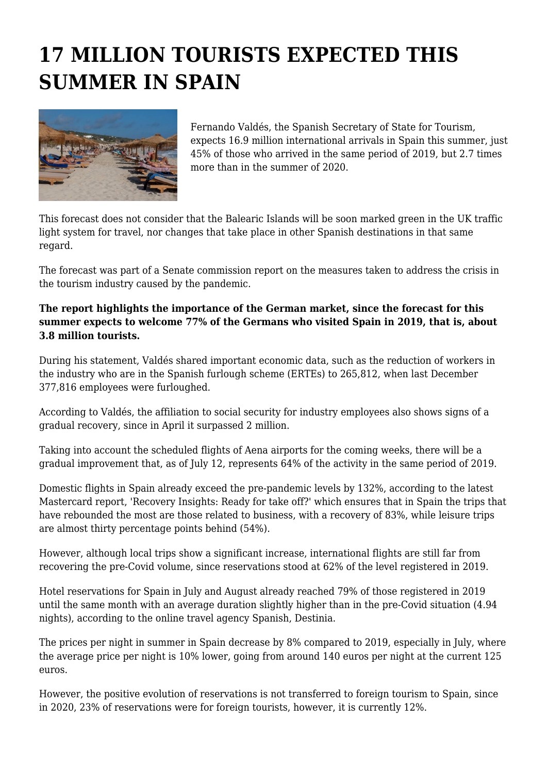## **17 MILLION TOURISTS EXPECTED THIS SUMMER IN SPAIN**



Fernando Valdés, the Spanish Secretary of State for Tourism, expects 16.9 million international arrivals in Spain this summer, just 45% of those who arrived in the same period of 2019, but 2.7 times more than in the summer of 2020.

This forecast does not consider that the Balearic Islands will be soon marked green in the UK traffic light system for travel, nor changes that take place in other Spanish destinations in that same regard.

The forecast was part of a Senate commission report on the measures taken to address the crisis in the tourism industry caused by the pandemic.

## **The report highlights the importance of the German market, since the forecast for this summer expects to welcome 77% of the Germans who visited Spain in 2019, that is, about 3.8 million tourists.**

During his statement, Valdés shared important economic data, such as the reduction of workers in the industry who are in the Spanish furlough scheme (ERTEs) to 265,812, when last December 377,816 employees were furloughed.

According to Valdés, the affiliation to social security for industry employees also shows signs of a gradual recovery, since in April it surpassed 2 million.

Taking into account the scheduled flights of Aena airports for the coming weeks, there will be a gradual improvement that, as of July 12, represents 64% of the activity in the same period of 2019.

Domestic flights in Spain already exceed the pre-pandemic levels by 132%, according to the latest Mastercard report, 'Recovery Insights: Ready for take off?' which ensures that in Spain the trips that have rebounded the most are those related to business, with a recovery of 83%, while leisure trips are almost thirty percentage points behind (54%).

However, although local trips show a significant increase, international flights are still far from recovering the pre-Covid volume, since reservations stood at 62% of the level registered in 2019.

Hotel reservations for Spain in July and August already reached 79% of those registered in 2019 until the same month with an average duration slightly higher than in the pre-Covid situation (4.94 nights), according to the online travel agency Spanish, Destinia.

The prices per night in summer in Spain decrease by 8% compared to 2019, especially in July, where the average price per night is 10% lower, going from around 140 euros per night at the current 125 euros.

However, the positive evolution of reservations is not transferred to foreign tourism to Spain, since in 2020, 23% of reservations were for foreign tourists, however, it is currently 12%.